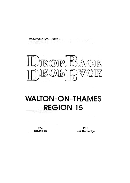December 1992 - Issue 6



# **WALTON-ON-THAMES REGION 15**

R.O. **David Fish** 

R.O. **Neil Depledge**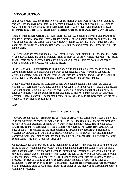## **INTRODUCTION**

It is about 3 years since one extremely cold Sunday morning when I was having a look around at various lakes and river swims that I came across 4 brave/lunatic pike anglers on the Desborough Cut. I had just re-started piking for the first time since I was a teenager and asked if they could recommend any local waters. These intrepid anglers turned out to be Dave, Trev, Barry and Ron.

Thanks to this chance meeting I discovered not only the PAC but also a very sociable crowd of like minded fishermen. Since then I have attended almost all of the monthly meetings and fished all bar one of the pike-ins (and I have just 2 pike to show for it all). As a result, I have learnt a great deal about how to fish for pike (if not exactly how to catch them) and, perhaps more importantly how to handle them.

However things are changing and not, I fear, for the better. On the first pike-in I attended there were over a dozen anglers and similar numbers fished on most of venues we visited mat year. This season though, there has been a very disappointing turn out on all trips. There has been a hard-core of about 5 anglers, 2 or 3 Pauls, John, Bill and myself.

If the rest of you are not interested in this kind of activity I think it is time you spoke up and saved Dave the frustration of standing up at the front of our meetings trying to drum up support and getting no-where. On the other hand if you wish the fish-ins to continue then please do two things. First, suggest a new venue (either a free water or a day ticket) and second, turn up.

Finally, last year, I offered my assistance to help Dave run the region as he came very close to quitting. We, particularly Dave, need all the help we can get. I can tell you now, that if Dave resigns I will not be able to run the Region on my own. I simply don't know enough about piking nor do I have any contacts to get the outside speakers that make so many of our meetings such enjoyable occasions. Please do not just use the monthly meetings as an excuse to get away from the wife for a couple of hours, make a contribution.

*Neil*

#### **Small River Piking**

Very few people who have fished the River Roding in Essex would consider the water as a potential Pike fishing venue and fewer still wet a Pike line. The water looks too small and for the most part, too fast to warrant attention. The river is of variable depth along its course, here rippling across gravel beds and there deepening to around eight feet as it cuts into the Essex clay. Similarly, the pace of the river is variable, for the most part rushing through a tiny reed fringed channel but occasionally slowing to a virtual halt in deeper, wider areas. Weed growth is prolific in summer, consisting for the most part of cabbages and lilies, but virtually nonexistent in the winter except for rotting stems. This is not a home for large pike.

Chub, dace, roach and perch are all to be found in the river but it is the huge shoals of minnows that make up the overwhelming proportion of the fish population. During the summer, you can drop a stick float into ANY swim and within seconds a firm pull will indicate another onslaught by these tiny fish. I believe that it is the minnows that sustain the bulk of the rivers pike population. So what of the pike themselves? Well, the river yields a living of sorts but the fish could hardly be said to prosper. A decade of fishing on and off suggests that around eight pounds can be taken as a maximum weight with an average of well under three. The fish are very sleek and feed fairly freely but the interesting thing about them is that the river brings out the highly specialised nature of these diminutive predators.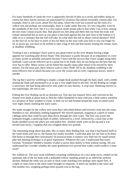For many hundreds of yards the river is apparently devoid of pike as it swirls and eddies along its course but these barren sections are punctuated by locations that almost invariably contain pike. For example, there is one swim, about five feet deep, where the river has scoured out the roots of a willow tree and perhaps not surprisingly, there is a pike under that tree. It's not a big pike, even by the standards of the river, but it is a very typical small stream pike in that when I say it lives among the tree roots I mean exactly that. Bait placed two feet deep and three feet out from the roots will remain untouched but as soon as you place a bait hard against the tree and close to the bottom it is odds on to a certainty that the fish will take. So what does this tell us about critical distance? Well on the face of, so far have to more or less hit them on the nose with your bait or you can forget So far as tactics go, you have to be mobile to take a bag of fish and that means trotting the stream, lures or deadbait wobbling.

Trotting is not a technique I have used to any great extent on the river despite having a huge appetite for watching pike drown floats! This reluctance is partly because of an impatience to cover as many swims as possible and partly because I have nod the success that I have sought using other methods. Lures can be effective up to a point but to be frank, they do not bring out the best that the river has to offer. Many swims can be fished but equally many pike refuse to be moved by mere artistry. For the most part, these fellows want to chew flesh! All in all, deadbait wobbling is the most effective line of attack because you cover the swims and as every vegetarian knows, meat is murder.

The rig that I used for wobbling is simply a single hook pushed through the baits skull, with a treble arming the flank and positioned so as to put a very slight bend in the bait. On the Roding no weight is necessary, the bait being allowed to sink under its own density. A stop-start, fluttering retrieve is, not surprisingly, the one to use.

Fishing the river Roding can be an absolute joy. One day last January Steve and I arrived on the frosted river bank at about Sam to find the valley blanketed in mist with just a little watery sunshine as a promise of finer weather to come. A little cat ice had formed around the mats of rotted weed over night clearly marking the slack water.

We made straight for the willow tree swim that I described before and lowered a bait into the roots, Needless to say, absolutely nothing happened! We moved upstream, stopping at a patch of rotted cabbage stems that could be seen deep down through the clear water. The first cast across the remnants bought a satisfying flash of amber, followed by a swirl, followed by a slack line as the hooks skidded across the pike's jaw and pulled free. Another smelt went on the rig and it was second time lucky, I suppose that one weighed about two pounds.

The interesting thing about that pike, like so many other Roding fish, was that it had buried itself in the weed stems and was to, the human eye totally invisible. Could that pike see our bait or do these fish home in through their neuromasts? In practical terms it matters very little but for small stream pike this hunting technique is of great importance. Whatever the case, I understand that some German "Scientists' blinded a number of pike to prove their ability to feed without seeing. All you understand but I wonder whether the same gentleman ever proved that a pike could swallow a mute swan?

We walked on. The next swim exhibited a stunning combination of a very deep curve, reeded on the upstream side of the far bank with a pollarded willow standing proud on an otherwise uniform skyline. Behind the reeds was an area of slack water reaching over perhaps nine square feet. A couple of casts close to the slack water brought no response. A third cast landed in the slack and fish number two, weighing perhaps three pounds was in the bag.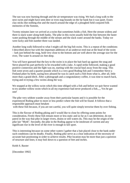The sun was now burning through and the air temperature was rising. We had a long walk to the next swim and might have seen deer or even stag hounds on the far bank but it was quiet. Essex clay sticks like nothing else and the march around the edge of a ploughed field conjured folk memories of the Somme,

Twenty minutes later we arrived at a swim that sometimes holds a fish. Here the stream widens and there is slack water along both banks. The pike in this swim usually hold the line between the faster water pushing through the middle of the stream and the slack water around the banks. Today we were lucky and fish number three was landed.

Another long walk followed to what I might call the big fish swim. This is a repeat of the conditions I described above but with the important additions of an undercut reed mat at the head of the swim – lurk just behind the snag, hold very close to the bottom and are well above the average size for the river, The water Is around six feet deep.

You will have guessed that the key to the swim is to place the bait hard up against the snag and Steve played his part perfectly to be rewarded with a take. A rapid strike followed, making a good positive connection and the fight was on, starting with the crucial haul away from the snag. This fish went seven and a quarter pounds which is a very good Roding fish and I remember Steve a Fenland piker by birth, saying how pleased he was to catch such a fish from what is, after all, little more than a grand ditch. After a photograph and a congratulatory coffee, it was time to march back, trying and re-trying a few swims along the way.

We stopped at the willow swim which this time obliged with a fish and before we quit Steve wanted to try another willow swim which in all my experience had never produced a fish.,.,, Yes he got one!

The pike very seldom wander away from their particular haunts and it is possible for the experienced Roding piker to more or less predict where the fish will be found. It follows that a responsible approach must betaken

with these fish because, if you are not careful, you will quite simply terrorise them by over fishing.

This is the flavour of Roding piking and I would like to close by offering some points for consideration, Firstly these fish remain more or less static and so far as I can determine, do not patrol in the way that pike in larger rivers, drains or still waters do, This may be the origin of the pike lair "Myth". Secondly, the pike in the Roding appear to be intolerant of current and any significant rise in the level of the river is enough to kill sport.

This is interesting because on some other waters I gather that a bait placed close to the bank under such conditions can be deadly. Finally, Roding pike serve as a clear indication of the necessity of accurate bait positioning in order to achieve results. Pike location may be more than just a question of structure and lines; it may boil down to a question of feet and inches.

Keith S. Baxter

[December 1992]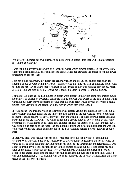

We always remember our own birthdays, some more than others - this year will remain special to me, let me explain why.

I was fishing in my favourite swim on a local still-water which almost guaranteed fish every visit, expecting a promising day after some recent good catches had attracted the presence of pike; it was interesting to say the least.

I am not a pike fisherman, my quarry are generally roach and bream, but on this particular day attempts to bag up were being thwarted by a hungry pike attacking my fish, as I hooked and brought them to the net. Twice a dark shadow disturbed the surface of the water running off with my roach, 2lb Hook link and size 18 hook, forcing me to tackle up again in order to continue fishing.

I opted for 3lb lines as I had an indication bream were present in the swim some nine metres out, in sixteen feet of crystal clear water. I continued fishing and was well aware of the pike in the margins watching my every move; it became obvious that this huge beast would devour every fish I caught unless I was very quick and careful with the way in which they were landed.

It was a scene for a thrilling video as everything was clearly visible; the lurking pike was using all her predatory instincts, following the line of the fish coming to the net, waiting for the opportune moment to strike at her prey. It was inevitable that she would get another offering before long and sure enough she did WHOOSH! A twitch of her tail, a terrific surge of power, and a deadly strike presented her with another tit bit, there goes another fish and yet another hook link I though, but I was wrong. She held on to the roach, the hook link held firm and fifteen minutes later she was still on, probably unaware that in taking the roach she'd also hooked herself, now the fun was about to start.

If I tell you that I was fishing with my pole, what chance would you give me of landing this creature. Well I thought I had none whatsoever, as every attempt to get her to the net stretched out yards of elastic and put an unbelievable bend in my pole, as she thrashed around relentlessly. I was about to unship my pole the sections to get to the business end and cut my losses before my pole gave up the ghost, when with one last effort I brought her to within netting distance. I forcibly scooped her ample flanks onto the bank with half of her hanging over the side of the net. Excited was an understatement, I was shaking with shock as I removed the tiny size 16 hook from the fleshy tissue in the scissors of her jaws.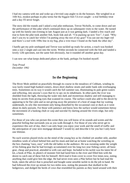I had my camera with me and woke up a bivvied carp angler to do the honours. She weighed in at 16lb 8oz, modest perhaps in pike terms but the biggest fish I'd ever caught - a real birthday treat and a day I'll never forget.

The story did the rounds and I asked a real pike enthusiast, Trevor Nicholls, to come down and see the performance of this pike which continued show up on subsequent visits to the water. He turned up with his family one evening in late August just as it was getting dark. I landed a few roach and true to form the pike took another fish, hook link and all. "I'm packing up now Trev", I said. "Why don't you try to catch her whilst I'm putting away the rest of my gear? You can use my leger rod and there's a reel with 10lbs line in my bag, plus a wire trace I found on the bank the other day".

I hardly got my pole unshipped and Trevor was tackled up ready for action, a roach was hooked onto a size 2 single and cast into the swim. Within seconds he connected with the fish and landed a lovely 12lb specimen, not the same fish obviously, but it rounded off another great day.

I can now see what keeps dedicated pikers at the bank, perhaps I'm hooked myself.

*Tony Proud December 1992*

#### **In the Beginning**

The River Mole ambled on peacefully through its course in the meadows of Cobham, winding its way lazily round high banked comers, down short shallow straits and under bank side overhanging trees. Sometimes on its way it would catch the full summer sun, illuminating its pale green waters and reflecting, into anyone's eyes that try to spy on its inhabitants. In other parts the river was shielded from the light, throwing the water into dark and mysterious shadow and still managing to keep its secrets from prying eyes that scanned its course. The surface could also add to the deceit by appearing to be flat calm and so not giving away the presence of a host of snags that lay waiting underneath, its oily like movement only being disturbed by the occasional coot or duck as it went about its daily pursuits. For those with patience and know how the surface would sometimes betray the movement of a basking chub or carp and suicidal fry darting around the rivers edge, but only sometimes.

For those of you who can picture this scene then you will know of its sounds and scents and the peaceful feeling that surrounds you as you walk through it. For those of you who never get to experience this sort of day, then I can only hope you enjoy your work and the smell of traffic and the anticipation of your next mortgage demand! I would try and describe it for you but I only have one lifetime.

No such worries played tricks on the mind of the young boy as he climbed yet another stile, another mindless week of school behind him and his mum and dad sat at home watching the wrestling on the box chanting "easy, easy" with the old ladies in the audience. He was sweating under the weight of his fishing gear that he had lovingly accumulated over his long two year fishing career, all basic gear, cheap and practical, attended to with care and hope. Included in his tackle was his latest bit of kit, a book of Pike, its photo's of monster fish had lured him to the river and filled him with the desire to catch one of these fish for himself. He'd read it from cover to cover five times now, noting anything that could give him the edge. He had never even seen a Pike before but he had read the book, taken the advice that is preached and bought some sensible tackle to do the job in hand. He had followed the river up stream for two miles now, noting the peasants that skulked in the hedgerows, and dodged the herds of cows that resembled his parents as they lazed around with their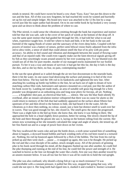minds in neutral. He could have sworn he heard a cow chant "Easy, Easy" but put this down to the sun and the heat. All of this was now forgotten, he had reached the swim he wanted and hurriedly set up his rod and simple ledger. His brand new trace was attached to the 12 lbs line by a snap swivel just like his super author had dictated. On to its one treble hook he lip hooked a very sweaty sprat and sat down to think about the problem of where to cast.

The Pike stirred, it could sense the vibrations emitting through the bank but experience and instinct told her that she was safe, safe in the cover of her patch of weeds at the bottom of the drop-off. It was the same quiet instinct that had guided her through her life, it had told her what to eat and when, experience taught how. It told her where to hunt and hide, it let her bask in the sun and foretold of the raging floods of winter and the sanctuary of the rivers deep holes. Coupled with her powers of instinct was a battery of senses, perfect semi bifocal vision finely adjusted from the infra red to ultra violet, a sense of smell that could almost smell the fear of its prey with pin point accuracy. An ability to feel sound and vibration and distinguish between the sound of flowing water and that of an injured rudd. She could even vaguely make out the faint electrical signals giving off by fish as they unwittingly swam around unseen by her ever scanning eyes. To our blunted eyes she would use all of this for pure murder, murder of our managed stocks maintained for our foolish pursuit. To her it was a way and means of survival; it had got her this far, the day it fails is the day she dies, and so she lay there, no fear, no pain, contemplating murder!

In the sun the sprat glinted as it sailed through the air ten foot downstream to the nearside bank, there it hit the water, its one ounce lead destroying the surface and pinning it to bed of the river three foot below. The boy laid the 10ft rod in its banksticks and tightened the new line. After attaching his washing up bottle top bobbin to the line, he sat back out of sight to dream of twin matching carbon fibre rods, baitrunners and optonics mounted on a rod pod, just like the author of his book swore by. Landing net made ready, an area of suitable soft grass big enough for a forty pounder was designated as an unhooking area and long nose pliers for forceps, all set. Nothing ......... a Kingfisher shot past, an electrical blue bolt....... silence. She saw the blue flash silently fly overhead, after an instant calculation instinct whispered that there was no cause for alarm so she could return to memory of the fish that had suddenly appeared on the surface about fifteen foot upstream of her and then dived to the bottom to hide, she had heard it hit the water, felt the vibrations as it dove then nothing, no colour, sound, just a faint but distinct smell to wash over her in waves. That was good enough for her, she closed in. The smell grew the more she progressed. There was a slight hole in the bed up front; she knew that, she knew it was hiding in there. She approached the hole in a head slightly down position, better for seeing. She slowly cleared the lip of the hole and there through the gloom she saw it, laying on the bottom rolling from the current. Her senses now screaming at her she instantly calculated the range and angle of attack; she tensed up, all her fins flared out and in a surge of power bore down on her victim.

The boy swallowed the warm coke and put the bottle down, a sixth sense warned him of something about to happen, a skyward bound bobbin and back winding reels of his rod bent round in a tortured arc. Nothing, his rod tip bounced again followed by a flick of the bobbin. The line from his rod tip jerked up and then went slack .... pause .... it snapped up again, this was it he thought. He picked up the rod and like a true disciple of his author, struck straight away. All of the pictures of grinning pike in his book raced through his mind, all the diagrams flashed up one after another, he could feel the pike thumping and running at the end of his line, he could feel the power and strength of it. He watched in horror as the line cut through the water like a knife, first one way then another towed by an unseen monster below. It was all too fast for him it was all he could do to hold the rod upright.

The pike was also confused, why should a dying fish pi t up so much resistance? It was uncontrollable with a constant pressure, it pulled her this way, stopped her going that way, why could she not eject it. Her long teeth had ripped into it, slashed it and crushed it. Instinct screamed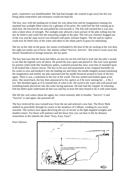panic, experience was dumbfounded. She had had enough, she wanted to get away but she was being taken somewhere and resistance would not help her.

The boy, now with the landing net in hand, his wits about him and his imagination running riot squinted into sunlight filled waters for a glimpse of his prize. He could feel the fish coming up to meet him. He lowered the net and pulled his rod towards it. The fish still resisted but it was now only a token show of strength. The sunlight only allowed a hazy picture of the pike rolling into the net; he lifted it and could feel the reassuring weight of the pike. The rod was clumsily dragged out of the way and the snap swivel was released with panic stricken fingers. The net and its captive could now be lifted clear of the water and taken to the shady patch of grass for unhooking.

She lay on her side on the grass, her senses overloaded by the heat of the air sucking at her wet skin, her sight not totally out of focus. Her instinct yelled "Survive, Survive". She tried to swim away but merely floundered on foreign material, she lay quiet.

The boy had seen that the hook had fallen out into his net but still had to look into the pike's mouth to see that the legends were all about. He prised the jaws apart and peered in. His eyes were greeted by pristine white teeth like murderous spikes, scattered around this maw were bits of smashed sprat. It all looked like a horror movie. The boy in his awe and amazement at his conquest hurriedly set his scales to zero and hooked it into the landing net and lifted, the needle dangled around tantalising the imagination and settled, me pike squirmed and the needle bounced around in front of the boy again. There it was, a statement to the rest of the world. The boy smiled and looked again at his prize. She stared back, the boy then announced to his captive as if he were naming her ... 2 lbs 2 ozs. She thrashed again as if to remind him of what to do. He raced to the water and with proud and trembling hands placed her into the water facing upstream. He had read the Chapter 3n returning fish but didn't quite understand all that was said but at least felt duty bound to do it with some haste.

She felt the cool waters about her again, her vision restored, able to breathe, "Survive" it said "Survive" it said again, she powered off.

The boy retrieved his now twisted trace from the net and selected a new bait. The River Mole ambled on peacefully through its course in the meadows of Cobham, winding its way lazily onwards. The surface once again deceiving the eye of secrets in the light dappled straights and shaded comers. For those with patience and the know how you can hear in the far distance somewhere in the suburbs the chant "Easy, Easy, Easy!"

*Paul Johnson*

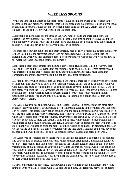## **WEEDLESS SPOONS**

Whilst the lure fishing aspect of our sport seems to have been more or less done to death in the monthlies/ the vast majority of interest seems to be focused upon plug fishing. This is a pity because spoons and in particular plain spoons (by which I mean baits like the ABU Atom) can be both enjoyable to use and effective where their use is appropriate.

Most people come to plain spoons through the ABU range of baits and there can be few Pike anglers who have not thrown a Toby around their local at one time or another. I have used these baits for many years and whilst the Pike that I have caught have been of little note, the pleasure of regularly seeing Pike strike my lures gives me reason to continue.

The main problem with plain spoons is their generally high density, a factor that causes the majority of baits to sink like the proverbial stone when not being retrieved. This increases the risk of snagging and when you then attempt to fish in close proximity to weed beds with your bait low in the water the whole situation becomes problematic.

Last season I spent considerable time fishing a gravel pit in Huntingdon. This pit was very deep, clear and weedy and it was obvious that conventional baits could not be presented effectively. It was therefore decided that weedless spoons might be the answer although I must admit that considering the ironmongery involved I did not have any great confidence.

My first discovery when setting out to use these baits was that there are two basic types of weedless plain spoon. The first type involves a hook being fixed rigid against the body of the lure with two wire guards reaching down from the head of the spoon to cover the hook point or points. Baits in this category include the ABU Favourite and the Nix Weedless. The second type incorporates a free swinging treble hook which is pushed upwards under a form of clip which retains the hook underneath the usual wire guard until a fish strikes. An example of a bait in this category is the ABU Weedless Atom.

The ABU Favourite has an action which I think is rather unusual in comparison with other plain spoons of all types in that it swims upside-down rather than gyrating in the ordinary way like of the Nix Weedless. This upside-down action coupled with the prominent tail feathers produces an effect that the pike seem to particularly appreciate. In fact this bait is worth trying as a "Change bait" even when the weedless property is not required, however there are drawbacks. Firstly, this bait is not as effective at hooking as more conventional baits and success will sometimes depend upon a pikes willingness to make multiple strikes. Secondly, if you don't want to damage the fish with that large single hook you will need to crush the barb, keep the pressure on and hope! In practice, it generally works out and you can always console yourself with the thought that lost fish could only have been reached using a weedless bait. For all of us small mouths, big hooks and barbs don't work.

The Atom type of weedless spoon incorporates, as I mentioned earlier, a clip treble hook retainer and you will find in practice that despite this rather complex arrangement, the hooking quality of the bait is reasonable. The action of these spoons is the familiar gyration that is obtained from the vast majority of plain spoons and you will only want to use this bait when a weedless spoon is the only choice because in more open water the conventional bait will always be better. The two main drawbacks with these baits is the tendency of the hook to release from its clip on casting (Not very clever when you have just hurled it at a lily patch) and abrasion between hook point and the face of the lure when pushing the hook into its clip.

So far as other tackle is concerned, I tend toward a light weight rod with a maximum lure weight rating of 30 to 40 grams coupled with a 15g bait and 15lb line. The relatively heavy line suggests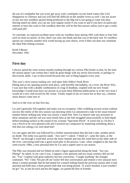the use of a multiplier but you won't get away with a multiplier on tree lined waters like LSA Shepperton or Chertsey and you will find life difficult on the smaller rivers as well. I am not aware of any out-size weedless spoons being produced so the 60g rod is not going to come into play. Having stated my ideal, you can use your regular tackle if you want to and if you have no particular interest in lures but want to fish weedless then this will be the best answer unless you've got a really well paid job!

To conclude, we enjoyed excellent sport with our weedless lures during 1991 with three or four fish each on most occasions. In fact, there was only one blank and that was at the back end. So weedless spoons are certainly another trick worth having up your sleeve, even if their use does not constitute the ideal Pike fishing scenario.

*Keith S Baxter December 1992*

## **First day**

I always spend the close season months reading through my various Pike books so that, by the time the season opens I am certain that I shall do great things with my newly discovered, or perhaps rediscovered, skills. I say re-discovered because this sort of thing happens every year.

This year's close season reading cen- tred upon John Sidley's book River Piking and so my opening session took place, with horrible inevitability, on a river, the River Wey. I was sure that with a deadly combination of a bag of deadbait, coupled with my new found knowledge I would soon have my picture in at least three different publications or at the very least I would set a new club record for the venue. Totally stupid of me of course but as they say, common sense doesn't come into it!

And so to the river on that first day.

Liz and I generally fish together and today was no exception. After wobbling several swims without success the reality of the new season was dawning when Liz announced a take in her usual relaxed manner before striking into what was clearly a small fish. Now Liz doesn't take any prisoners in these situations and her rod was soon firmly bent as the fish struggled unsuccessfully to hold depth before breaking surface to the sound of my screams "Specimen Perch". It wasn't but at 11b 8oz it was a Perch to be very pleased with and I restored my composure by muttering something about a fish that size taking a six inch dead bait!

Liz cast again and this was followed by a further announcement that she had a take, another perch no doubt. The strike was quickly made. "Any size?" I asked. "I think so", came the reply, as the "Perch" ran through a weed bed, across the main channel and into the weed bed on the other side of the river, converting itself into a good sized pike in the process. Later, when weighed in the mat she went exactly 10lbs, a new personal best for Liz and a superb start to our season.

The Pike was returned and we fished on until a figure approached along the bank. "Are you Piking?" he asked. In my case it was, I suppose a fair question and my usual courtesy did not fail me. "Yes" I replied with great authority but less conviction. "Caught anything" the stranger continued. "No" I lied. Not put off our visitor fell into conversation and related a very unusual story about a sixteen pounder that he had netted for a match fishing friend the previous season after it had attacked and held onto a three pound chub that was being played. "It wasn't hooked, it just wouldn't let go!" So, at one lie each and his the bigger, we parted the best of friends!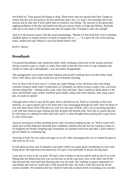We fished on. Time passed and began to drag. Three hours and one ejected take later I began to realise that this was not going to be this particular dog's day. Liz took a four pounder late in the session and by that time I must admit that my humour was failing. The answers to the great pike angling problems of the day had faded from the pre-season clarity of Page and Bellars, Rickards and Gay to the murk of the boredom that tells all anglers that "Enough is, after all, enough".

And so to the journey home with the usual questionings. "Maybe if I had used finer wire or perhaps deadbait spears or maybe essence of smelt or purple dye or ........" Liz gave me one of her pitying looks, smiled and said "Maybe if you had fished where I did".

*Keith S. Baxter*

#### **Broadlands**

I've passed Broadlands Lake numerous times while working in that neck of the woods and have always wanted to give it a bash, so when Dave told us that the Fens were in crap condition and would we rather go to Broadlands, I was not totally disappointed.

The arrangements were made and Paul Johnson and myself would go down on the Friday while Dave, Neil, Barry and Craig would turn up on Saturday morning.

Now its been a bit of time since I've done any night fishing, so the old brain cells were doing overtime trying to think what I would need, so I promptly set about trying to make a list, you know obvious things like – fishing tackle, rods, reels, bait and food. Then I started to think about it a bit more and decided a gas cooker would be quite handy, along with some utensils, fork, mug, saucepan, oh yeah tin opener!

I thought about where to get all this gear, then it dawned on me, Paul's in Australia so He won't need his, so a quick phone call to his mum and I was rummaging through his stuff. Now for those of you who don't know Paul O'Rourke too well, he's the type of bloke who's got everything and takes it all with him when he goes fishing and that includes the kitchen sink. Now this is a good idea but he will insist on walking for miles and miles and I've often thought about getting him a pack horse to carry all his gear.

Anyway moving on, Friday morning arrives and I set about loading up the car. Well it wasn't till I nearly got to Paul Johnson's doorstep that I suddenly realised what the hell am I going to sleep in - I'd forgotten my bloody sleeping bag! Fortunately my parents lived local and after a quick detour I got my hands on a sleeping bag.

Arriving at Paul's he was ready and eager to set off. After rearranging the car we loaded his gear in and went on our way.

It took about an hour and 10 minutes to get there which was quite good considering we were only doing about 100 mph down the motorway (I've got a very bad habit of always driving fast).

11am and we were in the car park. We had a chat to bloke in the hut and he told us that if we were Piking then the Blackwater bay was our best bet as all the carp boys were at the other end of the lake because the wind had been blowing that way all week. Not wishing to appear ungrateful we said thanks and said we would take a look around the lake. We took a walk and eyed up all the swims available. We started at the bay which he had told us about which on looking at no one else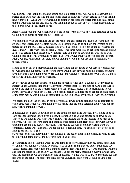was fishing. After looking round and seeing one bloke catch a pike who we had a chat with, he started telling us about the lake and some deep areas and how he was just getting into pike fishing (and it showed!). While we were watching he promptly proceeded to weigh this pike in his small triangular landing net. He also said he was fishing in about 15 foot of water which later turned out to be 8-9 foot when Paul plumbed it!!!

After walking round the whole lake we decided to opt for the bay which we had been told about, it would give us plenty of room for different ideas.

We set up the bivvie and brollies and got the rest of the gear sorted out. The plan was to fish with six rods, four legered and two float fished. The next thing was to go and buy the livebait, so off I trotted back to the hut. Well 10 minutes later I was back and greeted to the sound of "Where's the liveo's then? ", "He wasn't bloody there", I said. After three more trips to get some bait and still no luck I was getting a little pissed off. Next time I told Paul that he could go as I was fed up with walking back and forth. Eventually he came back with 10 live trout which we put in the keepnet. Right, two free roving trout out there and we thought we would soon see some action huh, we thought wrong.

Sitting back on our bed chairs relaxing and just waiting for one rod to go we started to think about the weekend and our plans, which were to move around each day and hit some different swims to give the water a good going over. We're still not sure whether it was laziness or what but we ended up staying in the same swim all weekend.

By now it was about 4pm and still nothing had happened when all of a sudden I saw my float go straight under. At first I thought it was my trout livebait because of the size of it. As I got over to my rod and picked it up the float reappeared on the surface. I reeled it in to check it and to our surprise my livebait had been trashed. On closer inspection Paul told me an eel had taken it because of the teeth marks. Shit, I thought, that must be some eel because my livebait wasn't exactly small.

We decided to pack the livebaits in for the evening as it was getting dark and just concentrate on our legered rods which we were hoping would spring into life and a screaming run would appear huh, wishful thinking (or was it?)

It must have been about 7pm when one of the optonics beeped and I thought I was going to be in. Two-seconds later and Paul's gives a bleep, the dropbacks go up and bounce back down again. That's odd we thought, well what was to follow was absolute chaos and just had to be seen to be believed. All four rods were going and optonics were bleeping left, right and centre with the two of us running around like headless chickens. After reeling our rods in and discovering our baits completely gutted we realised that we had hit the eel feeding time. We decided to set two rods up quickly for eels. Well as if

bBy some sort of jinx everything went quiet and all the action stopped, no bleeps, no runs, no eels, the only thing going on was the fireworks in the background.

It was starting to look like this weekend was going to be very difficult when my optonic screamed off and my bait runner was doing overtime. I was up and striking that rod before Paul could say "Esox". It felt a reasonable fish and 5 minutes later the fish was in the net. It was promptly weighed and took the scales to 1 lib exactly. We sacked it up for the night, checking it every now and then, until the morning so we could take a couple of pictures. We had waited 12 1/2 hours before our first fish was on the bank. The rest of the night proved uneventful apart from a couple of Paul's bad jokes!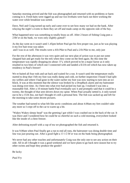Saturday morning arrived and the fish was photographed and returned with no problems or harm coming to it. Fresh baits were rigged up and our two livebaits were back out there working the water over while breakfast was sorted.

Dave, Neil and Craig turned up early and came over to see how many we had on the bank. After relaying the night's events to them they set off and made camp on the opposite side of the bay.

What happened next was something to totally brass us off. After 2 hours of fishing Craig puts a 23lb'er on the bank, we were only slightly gutted!!

As the day went on it wasn't until 1.45pm before Paul got his first proper run, just as he was playing it my live bait trout was taken and I was in as well. The results were a 41b Pike to Paul and a 21b Pike to me, only just

For the rest of the afternoon it was very quiet and our next plan of action was to put out some chopped bait and get ready for the eels when they come on the feed again. By this time the temperature was rapidly dropping (to about -5°), which proved to be a major factor as it only resulted in two bites of which one I connected with and landed a ll/21b eel which has now taken up residency in Paul's freezer!

We re-baited all four rods and sat back and waited for a run. It wasn't until the temperature really started to drop that I felt my foot was really damp and cold, on further inspection I found I had split my wellies and where I had gone in the water earlier my foot was now starting to turn into an ice block. It was at this moment that the silence was broken by a DropBack alarm and my baitrunner was doing over-time. As I bent into what ever had picked my bait up, I realised I was into a reasonable fish. After a 10 minute battle Paul eventually saw it and promptly said that it could be a twenty, the thought of that sent shivers down my spine. When Paul actually netted it, it only turned out to be a 151b 4oz, not bad I thought it's still a personal best. The fish was sacked up and left for the morning to take some decent pictures.

The weather had turned to what felt like arctic conditions and about 4.00am my feet couldn't take any more so I crept off to the car to warm up a bit.

"Wakey Wakey sleepy head" was the greeting I got while I was crashed out in the back of the car. It was Dave and I wondered how he could be so cheerful on such a cold morning, everywhere looked like the inside of a chest freezer.

After defrosting myself with a cup of tea we photographed the fish and returned it.

It was 9.00am when Paul finally got a run to end all runs, the baitrunner was doing double time and line was just pouring out. After a good fight a 13 1/2 lb'er was on the bank being photographed.

We never had any other touches and unfortunately Craig was the only one to see any action on their side. All in all I thought it was a good weekend and we have plans to go back next season but to try other swims and hope they produce the goods!!

Be lucky

*Paul Fry*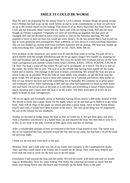## **SMILE IT COULD BE WORSE**

May '92 and I am preparing for the annual foray to Loch Lomond. Already things are going wrong. Dave Phillips has had to go up the week before us due to work commitments; at least we will have an up to the minute report on the fishing. That leaves 6 of us, Barry Haywood and Alan Porter, Bill Croft and Ian Edwards, Male Green and me. Barry and Alan are hiring a boat, Bill and Ian have bought an Orkney Longliner. Originally we were all travelling up together, but that soon all changed. Bill and Ian decided to leave even earlier at 2am on the Saturday morning. We had planned to leave at 4am (at least you could get some sleep!). At the last minute Barry had to pull out due to work problems and consequently Alan withdrew, so now down to 4 and travelling separately. The car was loaded up, mostly with trout livebaits, batteries and air pumps. The boat was loaded up with everything else. I picked Male up and off we set - M25, M40, M6 etc.

First problem on the motorway, any speed over 45 and the boat starts to swing. We pull off for a quick shuffle with the weight distribution and off we go again, magic! We trundle on, stopping for fuel and breakfast and are making good time. We cross the border into Scotland and are on the A24 (dual carriageway) just outside Gretna Green when CRASH, BANG. THUD, SCRAPE, CRUNCH Oh Shit! The boat's come off the trailer. We get out to investigate, no it hasn't. The boat is still on the trailer, the trailer has no axle. The axle is in the offside lane having been ripped off the trailer frame and is useless. The damage to the boat is minor, considering. We unload the boat and put as much in the car as possible. With the help of some others who stopped, we get the boat onto the grass verge. We are going to leave it there and continue on to Lomond and borrow Bills trailer so that we can retrieve the boat and work something out at Balmaha. We continue on at great speed and eventually arrive. After explaining to Bill and Ian what had happened we hook up their trailer and start back. On arrival back at the boat, it is still there and everything is intact. Fifteen hernias, much swearing and 2 hours later the boat is on the trailer. The basic principles of levers do not apply to boats on dual carriageways.

Off we set again and eventually arrive at Balmaha, having driven nearly 1,000 miles instead of 450. We decide to book into a guest house for the night, which we do and then go to Ballock to get some food. After fish & chips in the paper we return and after a quick drink, retire to bed. Nylon sheets, yeuch! and cold, it would have been warmer in the bivvy. The only good thing was we negotiated the use of the freezer for our deadbaits,

Sunday we decided to bodge repair the boat so that we could use it. We got fibre glass and resin from a chandlers and mixed it in a baked bean can and repaired the boat. We then had to wait for it to dry, so we went to the pub, covered in fibre glass resin and bits of matting.

After a considerable amount of beer we returned to the boat, it had started to rain. The repair was dry so we launched the boat, motored around the bay and set up camp. Ian had had a 14 off the bank the previous night.

I think we ate and then went back to the pub.

Monday, Malc and I took what was left of my trailer into Glasgow to the Lundespaision dealer. They said they could repair it by Friday, but it would not be cheap. They were most helpful and even took the time to work out the best way to do the repair.

Fortunately I had insured the boat and the trailer. We left the trailer with them and said we would ring on Wednesday. Now for some fishing. Not likely, the wind had increased so much that the boats were being blown onto the beach and eventually up the bank. Back to the pub!